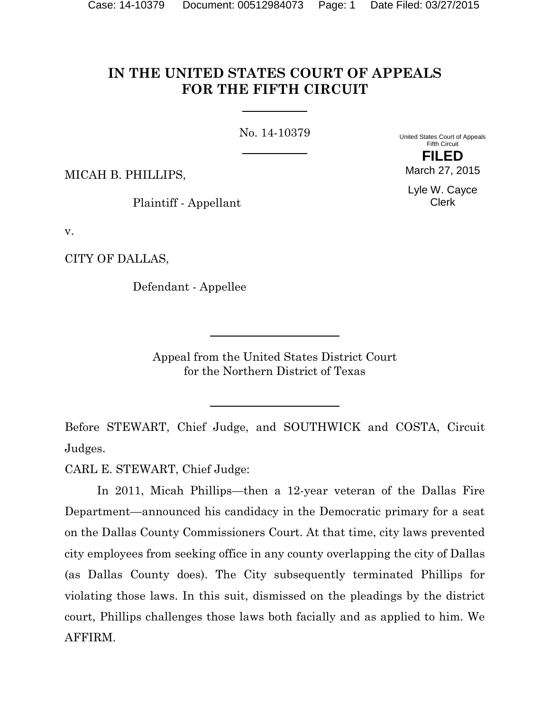# **IN THE UNITED STATES COURT OF APPEALS FOR THE FIFTH CIRCUIT**

No. 14-10379

United States Court of Appeals Fifth Circuit **FILED**

MICAH B. PHILLIPS,

Plaintiff - Appellant

March 27, 2015 Lyle W. Cayce Clerk

v.

CITY OF DALLAS,

Defendant - Appellee

Appeal from the United States District Court for the Northern District of Texas

Before STEWART, Chief Judge, and SOUTHWICK and COSTA, Circuit Judges.

CARL E. STEWART, Chief Judge:

In 2011, Micah Phillips—then a 12-year veteran of the Dallas Fire Department—announced his candidacy in the Democratic primary for a seat on the Dallas County Commissioners Court. At that time, city laws prevented city employees from seeking office in any county overlapping the city of Dallas (as Dallas County does). The City subsequently terminated Phillips for violating those laws. In this suit, dismissed on the pleadings by the district court, Phillips challenges those laws both facially and as applied to him. We AFFIRM.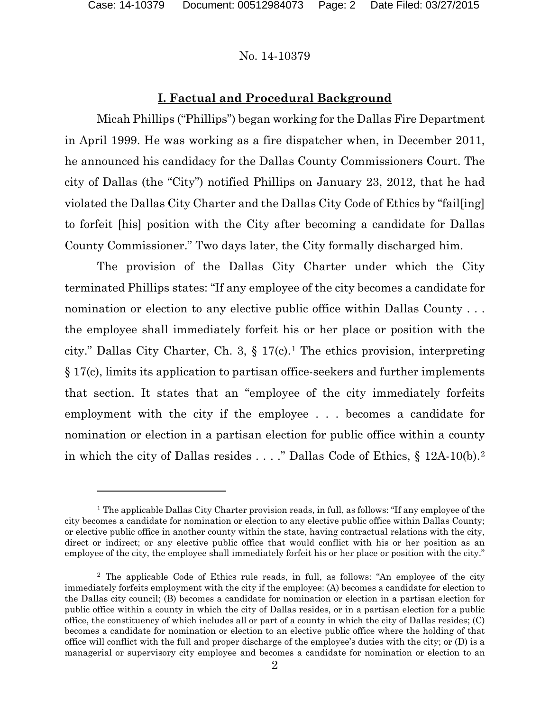#### No. 14-10379

### **I. Factual and Procedural Background**

Micah Phillips ("Phillips") began working for the Dallas Fire Department in April 1999. He was working as a fire dispatcher when, in December 2011, he announced his candidacy for the Dallas County Commissioners Court. The city of Dallas (the "City") notified Phillips on January 23, 2012, that he had violated the Dallas City Charter and the Dallas City Code of Ethics by "fail[ing] to forfeit [his] position with the City after becoming a candidate for Dallas County Commissioner." Two days later, the City formally discharged him.

The provision of the Dallas City Charter under which the City terminated Phillips states: "If any employee of the city becomes a candidate for nomination or election to any elective public office within Dallas County ... the employee shall immediately forfeit his or her place or position with the city." Dallas City Charter, Ch. 3,  $\S 17(c)$  $\S 17(c)$  $\S 17(c)$ .<sup>1</sup> The ethics provision, interpreting § 17(c), limits its application to partisan office-seekers and further implements that section. It states that an "employee of the city immediately forfeits employment with the city if the employee . . . becomes a candidate for nomination or election in a partisan election for public office within a county in which the city of Dallas resides . . . ." Dallas Code of Ethics, § 12A-10(b).[2](#page-1-1)

<span id="page-1-0"></span><sup>&</sup>lt;sup>1</sup> The applicable Dallas City Charter provision reads, in full, as follows: "If any employee of the city becomes a candidate for nomination or election to any elective public office within Dallas County; or elective public office in another county within the state, having contractual relations with the city, direct or indirect; or any elective public office that would conflict with his or her position as an employee of the city, the employee shall immediately forfeit his or her place or position with the city."

<span id="page-1-1"></span><sup>2</sup> The applicable Code of Ethics rule reads, in full, as follows: "An employee of the city immediately forfeits employment with the city if the employee: (A) becomes a candidate for election to the Dallas city council; (B) becomes a candidate for nomination or election in a partisan election for public office within a county in which the city of Dallas resides, or in a partisan election for a public office, the constituency of which includes all or part of a county in which the city of Dallas resides; (C) becomes a candidate for nomination or election to an elective public office where the holding of that office will conflict with the full and proper discharge of the employee's duties with the city; or (D) is a managerial or supervisory city employee and becomes a candidate for nomination or election to an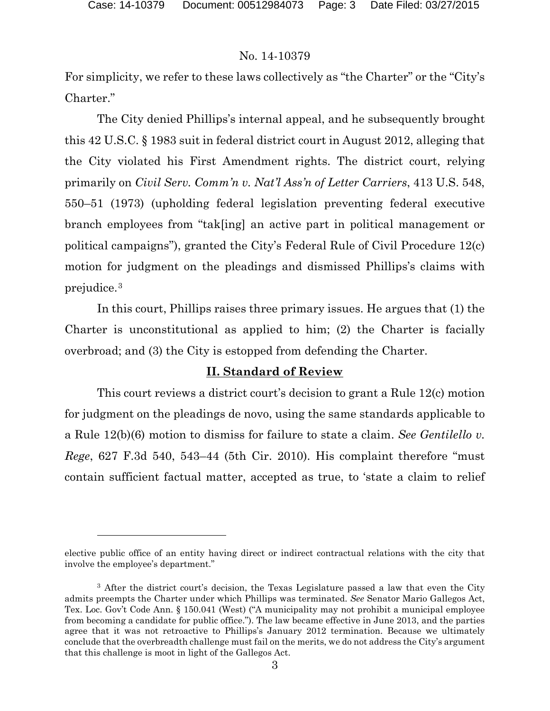#### No. 14-10379

For simplicity, we refer to these laws collectively as "the Charter" or the "City's Charter."

The City denied Phillips's internal appeal, and he subsequently brought this 42 U.S.C. § 1983 suit in federal district court in August 2012, alleging that the City violated his First Amendment rights. The district court, relying primarily on *Civil Serv. Comm'n v. Nat'l Ass'n of Letter Carriers*, 413 U.S. 548, 550–51 (1973) (upholding federal legislation preventing federal executive branch employees from "tak[ing] an active part in political management or political campaigns"), granted the City's Federal Rule of Civil Procedure 12(c) motion for judgment on the pleadings and dismissed Phillips's claims with prejudice.[3](#page-2-0)

In this court, Phillips raises three primary issues. He argues that (1) the Charter is unconstitutional as applied to him; (2) the Charter is facially overbroad; and (3) the City is estopped from defending the Charter.

#### **II. Standard of Review**

This court reviews a district court's decision to grant a Rule 12(c) motion for judgment on the pleadings de novo, using the same standards applicable to a Rule 12(b)(6) motion to dismiss for failure to state a claim. *See Gentilello v. Rege*, 627 F.3d 540, 543–44 (5th Cir. 2010). His complaint therefore "must contain sufficient factual matter, accepted as true, to 'state a claim to relief

elective public office of an entity having direct or indirect contractual relations with the city that involve the employee's department."

<span id="page-2-0"></span><sup>&</sup>lt;sup>3</sup> After the district court's decision, the Texas Legislature passed a law that even the City admits preempts the Charter under which Phillips was terminated. *See* Senator Mario Gallegos Act, Tex. Loc. Gov't Code Ann. § 150.041 (West) ("A municipality may not prohibit a municipal employee from becoming a candidate for public office."). The law became effective in June 2013, and the parties agree that it was not retroactive to Phillips's January 2012 termination. Because we ultimately conclude that the overbreadth challenge must fail on the merits, we do not address the City's argument that this challenge is moot in light of the Gallegos Act.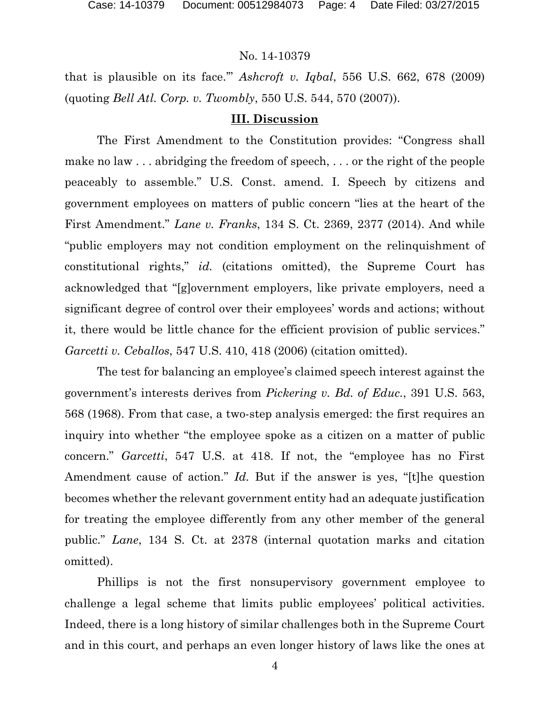that is plausible on its face.'" *Ashcroft v. Iqbal*, 556 U.S. 662, 678 (2009) (quoting *Bell Atl. Corp. v. Twombly*, 550 U.S. 544, 570 (2007)).

### **III. Discussion**

The First Amendment to the Constitution provides: "Congress shall make no law . . . abridging the freedom of speech, . . . or the right of the people peaceably to assemble." U.S. Const. amend. I. Speech by citizens and government employees on matters of public concern "lies at the heart of the First Amendment." *Lane v. Franks*, 134 S. Ct. 2369, 2377 (2014). And while "public employers may not condition employment on the relinquishment of constitutional rights," *id.* (citations omitted), the Supreme Court has acknowledged that "[g]overnment employers, like private employers, need a significant degree of control over their employees' words and actions; without it, there would be little chance for the efficient provision of public services." *Garcetti v. Ceballos*, 547 U.S. 410, 418 (2006) (citation omitted).

The test for balancing an employee's claimed speech interest against the government's interests derives from *Pickering v. Bd. of Educ.*, 391 U.S. 563, 568 (1968). From that case, a two-step analysis emerged: the first requires an inquiry into whether "the employee spoke as a citizen on a matter of public concern." *Garcetti*, 547 U.S. at 418. If not, the "employee has no First Amendment cause of action." *Id.* But if the answer is yes, "[t]he question becomes whether the relevant government entity had an adequate justification for treating the employee differently from any other member of the general public." *Lane*, 134 S. Ct. at 2378 (internal quotation marks and citation omitted).

Phillips is not the first nonsupervisory government employee to challenge a legal scheme that limits public employees' political activities. Indeed, there is a long history of similar challenges both in the Supreme Court and in this court, and perhaps an even longer history of laws like the ones at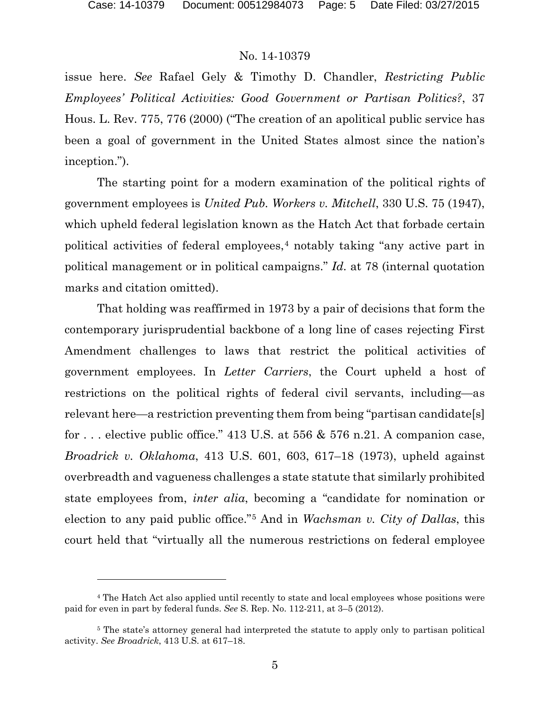#### No. 14-10379

issue here. *See* Rafael Gely & Timothy D. Chandler, *Restricting Public Employees' Political Activities: Good Government or Partisan Politics?*, 37 Hous. L. Rev. 775, 776 (2000) ("The creation of an apolitical public service has been a goal of government in the United States almost since the nation's inception.").

The starting point for a modern examination of the political rights of government employees is *United Pub. Workers v. Mitchell*, 330 U.S. 75 (1947), which upheld federal legislation known as the Hatch Act that forbade certain political activities of federal employees,[4](#page-4-0) notably taking "any active part in political management or in political campaigns." *Id.* at 78 (internal quotation marks and citation omitted).

That holding was reaffirmed in 1973 by a pair of decisions that form the contemporary jurisprudential backbone of a long line of cases rejecting First Amendment challenges to laws that restrict the political activities of government employees. In *Letter Carriers*, the Court upheld a host of restrictions on the political rights of federal civil servants, including—as relevant here—a restriction preventing them from being "partisan candidate[s] for ... elective public office." 413 U.S. at 556  $\&$  576 n.21. A companion case, *Broadrick v. Oklahoma*, 413 U.S. 601, 603, 617–18 (1973), upheld against overbreadth and vagueness challenges a state statute that similarly prohibited state employees from, *inter alia*, becoming a "candidate for nomination or election to any paid public office."[5](#page-4-1) And in *Wachsman v. City of Dallas*, this court held that "virtually all the numerous restrictions on federal employee

<span id="page-4-0"></span><sup>4</sup> The Hatch Act also applied until recently to state and local employees whose positions were paid for even in part by federal funds. *See* S. Rep. No. 112-211, at 3–5 (2012).

<span id="page-4-1"></span><sup>&</sup>lt;sup>5</sup> The state's attorney general had interpreted the statute to apply only to partisan political activity. *See Broadrick*, 413 U.S. at 617–18.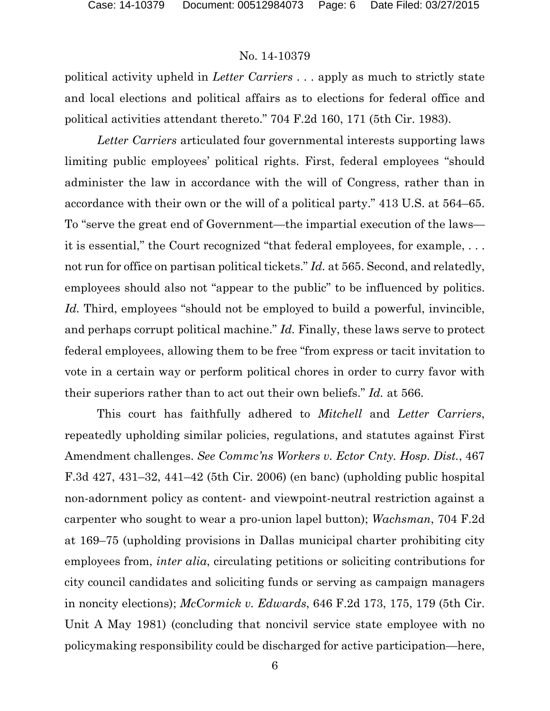political activity upheld in *Letter Carriers* . . . apply as much to strictly state and local elections and political affairs as to elections for federal office and political activities attendant thereto." 704 F.2d 160, 171 (5th Cir. 1983).

*Letter Carriers* articulated four governmental interests supporting laws limiting public employees' political rights. First, federal employees "should administer the law in accordance with the will of Congress, rather than in accordance with their own or the will of a political party." 413 U.S. at 564–65. To "serve the great end of Government—the impartial execution of the laws it is essential," the Court recognized "that federal employees, for example, . . . not run for office on partisan political tickets." *Id.* at 565. Second, and relatedly, employees should also not "appear to the public" to be influenced by politics. *Id.* Third, employees "should not be employed to build a powerful, invincible, and perhaps corrupt political machine." *Id.* Finally, these laws serve to protect federal employees, allowing them to be free "from express or tacit invitation to vote in a certain way or perform political chores in order to curry favor with their superiors rather than to act out their own beliefs." *Id.* at 566.

This court has faithfully adhered to *Mitchell* and *Letter Carriers*, repeatedly upholding similar policies, regulations, and statutes against First Amendment challenges. *See Commc'ns Workers v. Ector Cnty. Hosp. Dist.*, 467 F.3d 427, 431–32, 441–42 (5th Cir. 2006) (en banc) (upholding public hospital non-adornment policy as content- and viewpoint-neutral restriction against a carpenter who sought to wear a pro-union lapel button); *Wachsman*, 704 F.2d at 169–75 (upholding provisions in Dallas municipal charter prohibiting city employees from, *inter alia*, circulating petitions or soliciting contributions for city council candidates and soliciting funds or serving as campaign managers in noncity elections); *McCormick v. Edwards*, 646 F.2d 173, 175, 179 (5th Cir. Unit A May 1981) (concluding that noncivil service state employee with no policymaking responsibility could be discharged for active participation—here,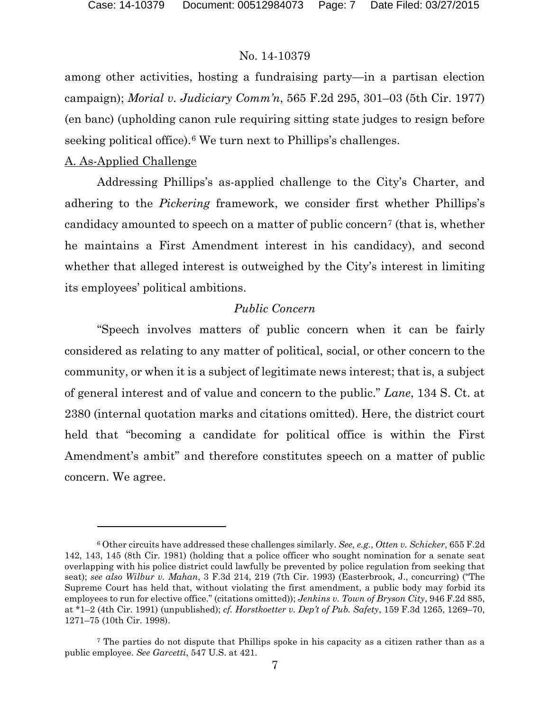among other activities, hosting a fundraising party—in a partisan election campaign); *Morial v. Judiciary Comm'n*, 565 F.2d 295, 301–03 (5th Cir. 1977) (en banc) (upholding canon rule requiring sitting state judges to resign before seeking political office).<sup>[6](#page-6-0)</sup> We turn next to Phillips's challenges.

#### A. As-Applied Challenge

 $\overline{a}$ 

Addressing Phillips's as-applied challenge to the City's Charter, and adhering to the *Pickering* framework, we consider first whether Phillips's candidacy amounted to speech on a matter of public concern<sup>[7](#page-6-1)</sup> (that is, whether he maintains a First Amendment interest in his candidacy), and second whether that alleged interest is outweighed by the City's interest in limiting its employees' political ambitions.

### *Public Concern*

"Speech involves matters of public concern when it can be fairly considered as relating to any matter of political, social, or other concern to the community, or when it is a subject of legitimate news interest; that is, a subject of general interest and of value and concern to the public." *Lane*, 134 S. Ct. at 2380 (internal quotation marks and citations omitted). Here, the district court held that "becoming a candidate for political office is within the First Amendment's ambit" and therefore constitutes speech on a matter of public concern. We agree.

<span id="page-6-0"></span><sup>6</sup> Other circuits have addressed these challenges similarly. *See, e.g.*, *Otten v. Schicker*, 655 F.2d 142, 143, 145 (8th Cir. 1981) (holding that a police officer who sought nomination for a senate seat overlapping with his police district could lawfully be prevented by police regulation from seeking that seat); *see also Wilbur v. Mahan*, 3 F.3d 214, 219 (7th Cir. 1993) (Easterbrook, J., concurring) ("The Supreme Court has held that, without violating the first amendment, a public body may forbid its employees to run for elective office." (citations omitted)); *Jenkins v. Town of Bryson City*, 946 F.2d 885, at \*1–2 (4th Cir. 1991) (unpublished); *cf. Horstkoetter v. Dep't of Pub. Safety*, 159 F.3d 1265, 1269–70, 1271–75 (10th Cir. 1998).

<span id="page-6-1"></span><sup>7</sup> The parties do not dispute that Phillips spoke in his capacity as a citizen rather than as a public employee. *See Garcetti*, 547 U.S. at 421.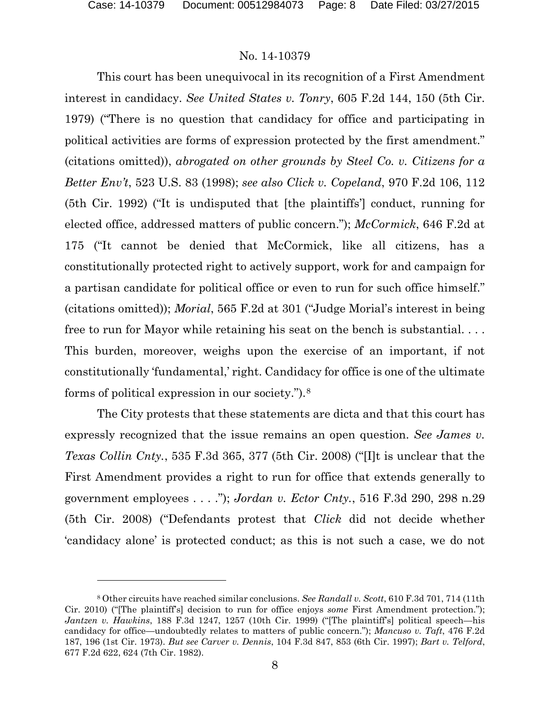### No. 14-10379

This court has been unequivocal in its recognition of a First Amendment interest in candidacy. *See United States v. Tonry*, 605 F.2d 144, 150 (5th Cir. 1979) ("There is no question that candidacy for office and participating in political activities are forms of expression protected by the first amendment." (citations omitted)), *abrogated on other grounds by Steel Co. v. Citizens for a Better Env't*, 523 U.S. 83 (1998); *see also Click v. Copeland*, 970 F.2d 106, 112 (5th Cir. 1992) ("It is undisputed that [the plaintiffs'] conduct, running for elected office, addressed matters of public concern."); *McCormick*, 646 F.2d at 175 ("It cannot be denied that McCormick, like all citizens, has a constitutionally protected right to actively support, work for and campaign for a partisan candidate for political office or even to run for such office himself." (citations omitted)); *Morial*, 565 F.2d at 301 ("Judge Morial's interest in being free to run for Mayor while retaining his seat on the bench is substantial. . . . This burden, moreover, weighs upon the exercise of an important, if not constitutionally 'fundamental,' right. Candidacy for office is one of the ultimate forms of political expression in our society.").[8](#page-7-0)

The City protests that these statements are dicta and that this court has expressly recognized that the issue remains an open question. *See James v. Texas Collin Cnty.*, 535 F.3d 365, 377 (5th Cir. 2008) ("[I]t is unclear that the First Amendment provides a right to run for office that extends generally to government employees . . . ."); *Jordan v. Ector Cnty.*, 516 F.3d 290, 298 n.29 (5th Cir. 2008) ("Defendants protest that *Click* did not decide whether 'candidacy alone' is protected conduct; as this is not such a case, we do not

<span id="page-7-0"></span><sup>8</sup> Other circuits have reached similar conclusions. *See Randall v. Scott*, 610 F.3d 701, 714 (11th Cir. 2010) ("[The plaintiff's] decision to run for office enjoys *some* First Amendment protection."); *Jantzen v. Hawkins*, 188 F.3d 1247, 1257 (10th Cir. 1999) ("[The plaintiff's] political speech—his candidacy for office—undoubtedly relates to matters of public concern."); *Mancuso v. Taft*, 476 F.2d 187, 196 (1st Cir. 1973). *But see Carver v. Dennis*, 104 F.3d 847, 853 (6th Cir. 1997); *Bart v. Telford*, 677 F.2d 622, 624 (7th Cir. 1982).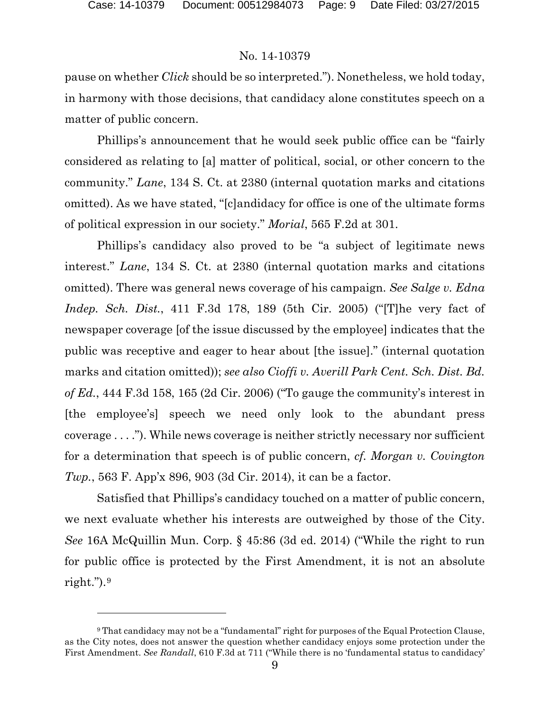### No. 14-10379

pause on whether *Click* should be so interpreted."). Nonetheless, we hold today, in harmony with those decisions, that candidacy alone constitutes speech on a matter of public concern.

Phillips's announcement that he would seek public office can be "fairly considered as relating to [a] matter of political, social, or other concern to the community." *Lane*, 134 S. Ct. at 2380 (internal quotation marks and citations omitted). As we have stated, "[c]andidacy for office is one of the ultimate forms of political expression in our society." *Morial*, 565 F.2d at 301.

Phillips's candidacy also proved to be "a subject of legitimate news interest." *Lane*, 134 S. Ct. at 2380 (internal quotation marks and citations omitted). There was general news coverage of his campaign. *See Salge v. Edna Indep. Sch. Dist.*, 411 F.3d 178, 189 (5th Cir. 2005) ("[T]he very fact of newspaper coverage [of the issue discussed by the employee] indicates that the public was receptive and eager to hear about [the issue]." (internal quotation marks and citation omitted)); *see also Cioffi v. Averill Park Cent. Sch. Dist. Bd. of Ed.*, 444 F.3d 158, 165 (2d Cir. 2006) ("To gauge the community's interest in [the employee's] speech we need only look to the abundant press coverage . . . ."). While news coverage is neither strictly necessary nor sufficient for a determination that speech is of public concern, *cf. Morgan v. Covington Twp.*, 563 F. App'x 896, 903 (3d Cir. 2014), it can be a factor.

Satisfied that Phillips's candidacy touched on a matter of public concern, we next evaluate whether his interests are outweighed by those of the City. *See* 16A McQuillin Mun. Corp. § 45:86 (3d ed. 2014) ("While the right to run for public office is protected by the First Amendment, it is not an absolute right." $).<sup>9</sup>$  $).<sup>9</sup>$  $).<sup>9</sup>$ 

<span id="page-8-0"></span><sup>9</sup> That candidacy may not be a "fundamental" right for purposes of the Equal Protection Clause, as the City notes, does not answer the question whether candidacy enjoys some protection under the First Amendment. *See Randall*, 610 F.3d at 711 ("While there is no 'fundamental status to candidacy'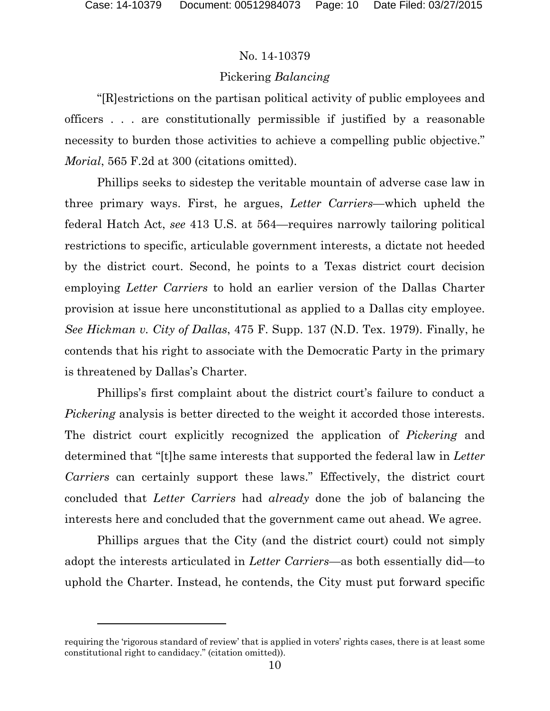### No. 14-10379

### Pickering *Balancing*

"[R]estrictions on the partisan political activity of public employees and officers . . . are constitutionally permissible if justified by a reasonable necessity to burden those activities to achieve a compelling public objective." *Morial*, 565 F.2d at 300 (citations omitted).

Phillips seeks to sidestep the veritable mountain of adverse case law in three primary ways. First, he argues, *Letter Carriers*—which upheld the federal Hatch Act, *see* 413 U.S. at 564—requires narrowly tailoring political restrictions to specific, articulable government interests, a dictate not heeded by the district court. Second, he points to a Texas district court decision employing *Letter Carriers* to hold an earlier version of the Dallas Charter provision at issue here unconstitutional as applied to a Dallas city employee. *See Hickman v. City of Dallas*, 475 F. Supp. 137 (N.D. Tex. 1979). Finally, he contends that his right to associate with the Democratic Party in the primary is threatened by Dallas's Charter.

Phillips's first complaint about the district court's failure to conduct a *Pickering* analysis is better directed to the weight it accorded those interests. The district court explicitly recognized the application of *Pickering* and determined that "[t]he same interests that supported the federal law in *Letter Carriers* can certainly support these laws." Effectively, the district court concluded that *Letter Carriers* had *already* done the job of balancing the interests here and concluded that the government came out ahead. We agree.

Phillips argues that the City (and the district court) could not simply adopt the interests articulated in *Letter Carriers*—as both essentially did—to uphold the Charter. Instead, he contends, the City must put forward specific

requiring the 'rigorous standard of review' that is applied in voters' rights cases, there is at least some constitutional right to candidacy." (citation omitted)).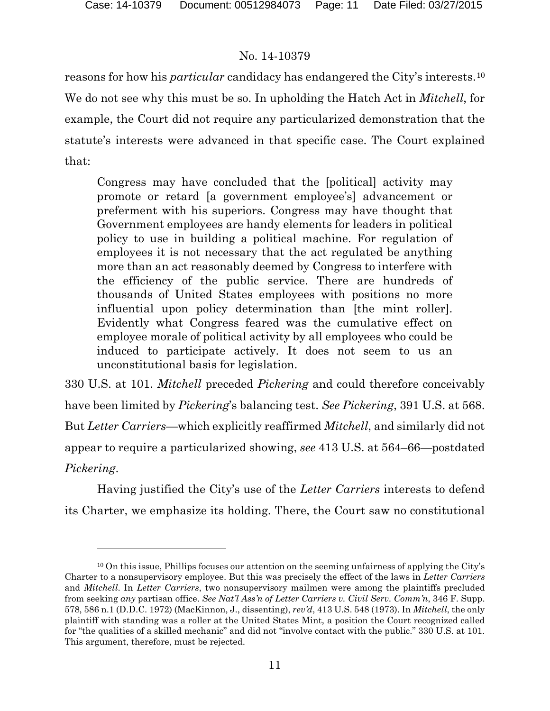### No. 14-10379

reasons for how his *particular* candidacy has endangered the City's interests.[10](#page-10-0) We do not see why this must be so. In upholding the Hatch Act in *Mitchell*, for example, the Court did not require any particularized demonstration that the statute's interests were advanced in that specific case. The Court explained that:

Congress may have concluded that the [political] activity may promote or retard [a government employee's] advancement or preferment with his superiors. Congress may have thought that Government employees are handy elements for leaders in political policy to use in building a political machine. For regulation of employees it is not necessary that the act regulated be anything more than an act reasonably deemed by Congress to interfere with the efficiency of the public service. There are hundreds of thousands of United States employees with positions no more influential upon policy determination than [the mint roller]. Evidently what Congress feared was the cumulative effect on employee morale of political activity by all employees who could be induced to participate actively. It does not seem to us an unconstitutional basis for legislation.

330 U.S. at 101. *Mitchell* preceded *Pickering* and could therefore conceivably have been limited by *Pickering*'s balancing test. *See Pickering*, 391 U.S. at 568. But *Letter Carriers*—which explicitly reaffirmed *Mitchell*, and similarly did not appear to require a particularized showing, *see* 413 U.S. at 564–66—postdated *Pickering*.

Having justified the City's use of the *Letter Carriers* interests to defend its Charter, we emphasize its holding. There, the Court saw no constitutional

<span id="page-10-0"></span><sup>&</sup>lt;sup>10</sup> On this issue, Phillips focuses our attention on the seeming unfairness of applying the City's Charter to a nonsupervisory employee. But this was precisely the effect of the laws in *Letter Carriers* and *Mitchell*. In *Letter Carriers*, two nonsupervisory mailmen were among the plaintiffs precluded from seeking *any* partisan office. *See Nat'l Ass'n of Letter Carriers v. Civil Serv. Comm'n*, 346 F. Supp. 578, 586 n.1 (D.D.C. 1972) (MacKinnon, J., dissenting), *rev'd*, 413 U.S. 548 (1973). In *Mitchell*, the only plaintiff with standing was a roller at the United States Mint, a position the Court recognized called for "the qualities of a skilled mechanic" and did not "involve contact with the public." 330 U.S. at 101. This argument, therefore, must be rejected.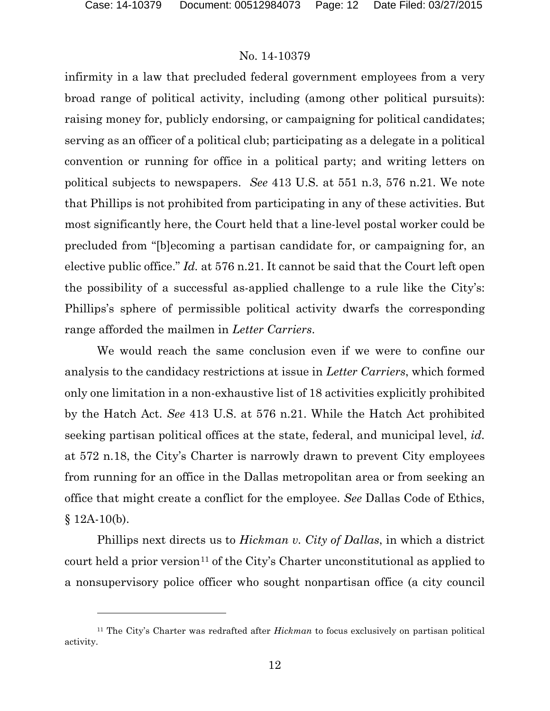### No. 14-10379

infirmity in a law that precluded federal government employees from a very broad range of political activity, including (among other political pursuits): raising money for, publicly endorsing, or campaigning for political candidates; serving as an officer of a political club; participating as a delegate in a political convention or running for office in a political party; and writing letters on political subjects to newspapers. *See* 413 U.S. at 551 n.3, 576 n.21. We note that Phillips is not prohibited from participating in any of these activities. But most significantly here, the Court held that a line-level postal worker could be precluded from "[b]ecoming a partisan candidate for, or campaigning for, an elective public office." *Id.* at 576 n.21. It cannot be said that the Court left open the possibility of a successful as-applied challenge to a rule like the City's: Phillips's sphere of permissible political activity dwarfs the corresponding range afforded the mailmen in *Letter Carriers*.

We would reach the same conclusion even if we were to confine our analysis to the candidacy restrictions at issue in *Letter Carriers*, which formed only one limitation in a non-exhaustive list of 18 activities explicitly prohibited by the Hatch Act. *See* 413 U.S. at 576 n.21. While the Hatch Act prohibited seeking partisan political offices at the state, federal, and municipal level, *id.*  at 572 n.18, the City's Charter is narrowly drawn to prevent City employees from running for an office in the Dallas metropolitan area or from seeking an office that might create a conflict for the employee. *See* Dallas Code of Ethics,  $§ 12A-10(b).$ 

Phillips next directs us to *Hickman v. City of Dallas*, in which a district court held a prior version<sup>[11](#page-11-0)</sup> of the City's Charter unconstitutional as applied to a nonsupervisory police officer who sought nonpartisan office (a city council

<span id="page-11-0"></span><sup>11</sup> The City's Charter was redrafted after *Hickman* to focus exclusively on partisan political activity.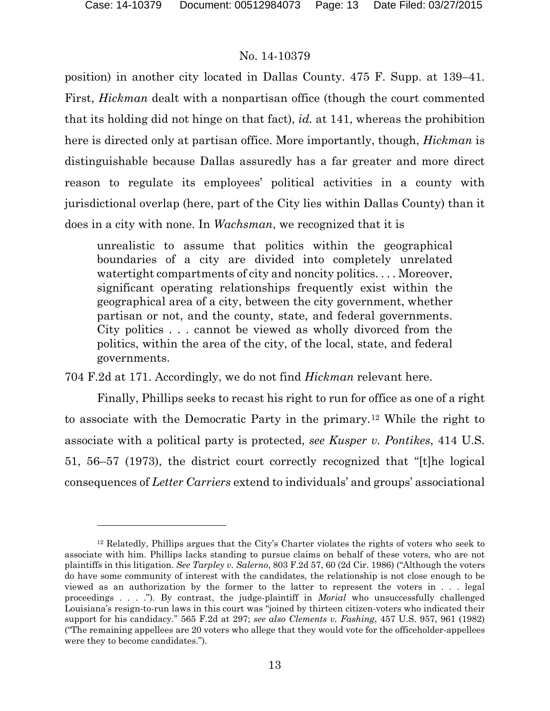### No. 14-10379

position) in another city located in Dallas County. 475 F. Supp. at 139–41. First, *Hickman* dealt with a nonpartisan office (though the court commented that its holding did not hinge on that fact), *id.* at 141, whereas the prohibition here is directed only at partisan office. More importantly, though, *Hickman* is distinguishable because Dallas assuredly has a far greater and more direct reason to regulate its employees' political activities in a county with jurisdictional overlap (here, part of the City lies within Dallas County) than it does in a city with none. In *Wachsman*, we recognized that it is

unrealistic to assume that politics within the geographical boundaries of a city are divided into completely unrelated watertight compartments of city and noncity politics. . . . Moreover, significant operating relationships frequently exist within the geographical area of a city, between the city government, whether partisan or not, and the county, state, and federal governments. City politics . . . cannot be viewed as wholly divorced from the politics, within the area of the city, of the local, state, and federal governments.

704 F.2d at 171. Accordingly, we do not find *Hickman* relevant here.

Finally, Phillips seeks to recast his right to run for office as one of a right to associate with the Democratic Party in the primary.[12](#page-12-0) While the right to associate with a political party is protected, *see Kusper v. Pontikes*, 414 U.S. 51, 56–57 (1973), the district court correctly recognized that "[t]he logical consequences of *Letter Carriers* extend to individuals' and groups' associational

<span id="page-12-0"></span><sup>12</sup> Relatedly, Phillips argues that the City's Charter violates the rights of voters who seek to associate with him. Phillips lacks standing to pursue claims on behalf of these voters, who are not plaintiffs in this litigation. *See Tarpley v. Salerno*, 803 F.2d 57, 60 (2d Cir. 1986) ("Although the voters do have some community of interest with the candidates, the relationship is not close enough to be viewed as an authorization by the former to the latter to represent the voters in . . . legal proceedings . . . ."). By contrast, the judge-plaintiff in *Morial* who unsuccessfully challenged Louisiana's resign-to-run laws in this court was "joined by thirteen citizen-voters who indicated their support for his candidacy." 565 F.2d at 297; *see also Clements v. Fashing*, 457 U.S. 957, 961 (1982) ("The remaining appellees are 20 voters who allege that they would vote for the officeholder-appellees were they to become candidates.").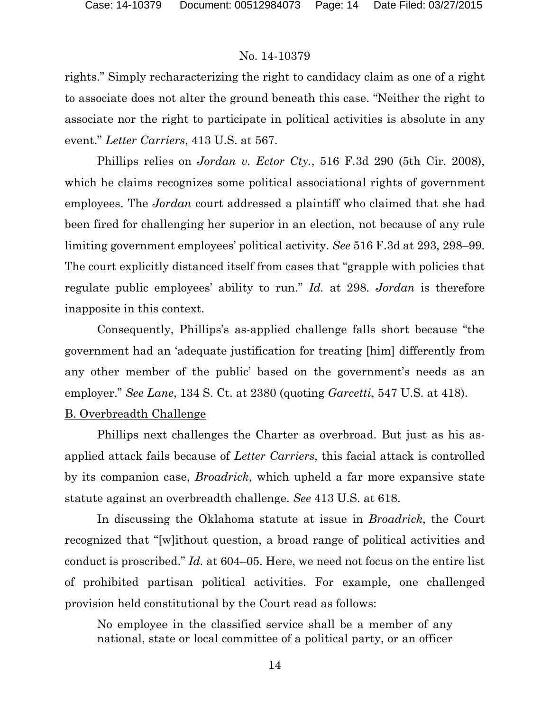rights." Simply recharacterizing the right to candidacy claim as one of a right to associate does not alter the ground beneath this case. "Neither the right to associate nor the right to participate in political activities is absolute in any event." *Letter Carriers*, 413 U.S. at 567.

Phillips relies on *Jordan v. Ector Cty.*, 516 F.3d 290 (5th Cir. 2008), which he claims recognizes some political associational rights of government employees. The *Jordan* court addressed a plaintiff who claimed that she had been fired for challenging her superior in an election, not because of any rule limiting government employees' political activity. *See* 516 F.3d at 293, 298–99. The court explicitly distanced itself from cases that "grapple with policies that regulate public employees' ability to run." *Id.* at 298. *Jordan* is therefore inapposite in this context.

Consequently, Phillips's as-applied challenge falls short because "the government had an 'adequate justification for treating [him] differently from any other member of the public' based on the government's needs as an employer." *See Lane*, 134 S. Ct. at 2380 (quoting *Garcetti*, 547 U.S. at 418). B. Overbreadth Challenge

Phillips next challenges the Charter as overbroad. But just as his asapplied attack fails because of *Letter Carriers*, this facial attack is controlled by its companion case, *Broadrick*, which upheld a far more expansive state statute against an overbreadth challenge. *See* 413 U.S. at 618.

In discussing the Oklahoma statute at issue in *Broadrick*, the Court recognized that "[w]ithout question, a broad range of political activities and conduct is proscribed." *Id.* at 604–05. Here, we need not focus on the entire list of prohibited partisan political activities. For example, one challenged provision held constitutional by the Court read as follows:

No employee in the classified service shall be a member of any national, state or local committee of a political party, or an officer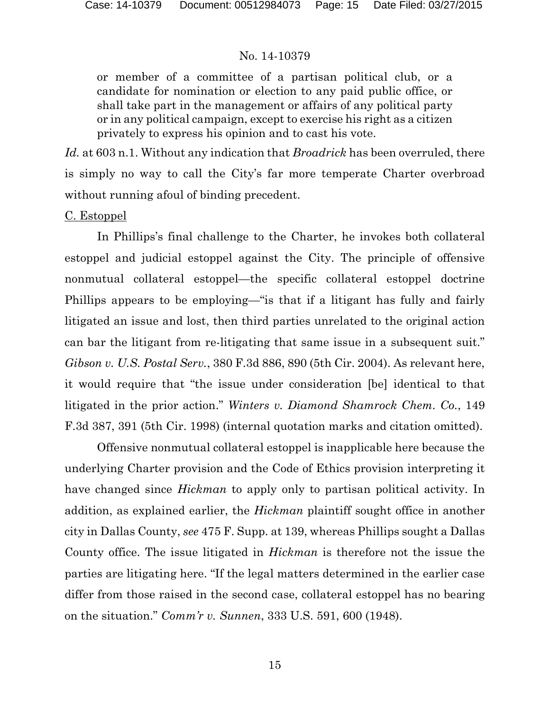or member of a committee of a partisan political club, or a candidate for nomination or election to any paid public office, or shall take part in the management or affairs of any political party or in any political campaign, except to exercise his right as a citizen privately to express his opinion and to cast his vote.

*Id.* at 603 n.1. Without any indication that *Broadrick* has been overruled, there is simply no way to call the City's far more temperate Charter overbroad without running afoul of binding precedent.

C. Estoppel

In Phillips's final challenge to the Charter, he invokes both collateral estoppel and judicial estoppel against the City. The principle of offensive nonmutual collateral estoppel—the specific collateral estoppel doctrine Phillips appears to be employing—"is that if a litigant has fully and fairly litigated an issue and lost, then third parties unrelated to the original action can bar the litigant from re-litigating that same issue in a subsequent suit." *Gibson v. U.S. Postal Serv.*, 380 F.3d 886, 890 (5th Cir. 2004). As relevant here, it would require that "the issue under consideration [be] identical to that litigated in the prior action." *Winters v. Diamond Shamrock Chem. Co.*, 149 F.3d 387, 391 (5th Cir. 1998) (internal quotation marks and citation omitted).

Offensive nonmutual collateral estoppel is inapplicable here because the underlying Charter provision and the Code of Ethics provision interpreting it have changed since *Hickman* to apply only to partisan political activity. In addition, as explained earlier, the *Hickman* plaintiff sought office in another city in Dallas County, *see* 475 F. Supp. at 139, whereas Phillips sought a Dallas County office. The issue litigated in *Hickman* is therefore not the issue the parties are litigating here. "If the legal matters determined in the earlier case differ from those raised in the second case, collateral estoppel has no bearing on the situation." *Comm'r v. Sunnen*, 333 U.S. 591, 600 (1948).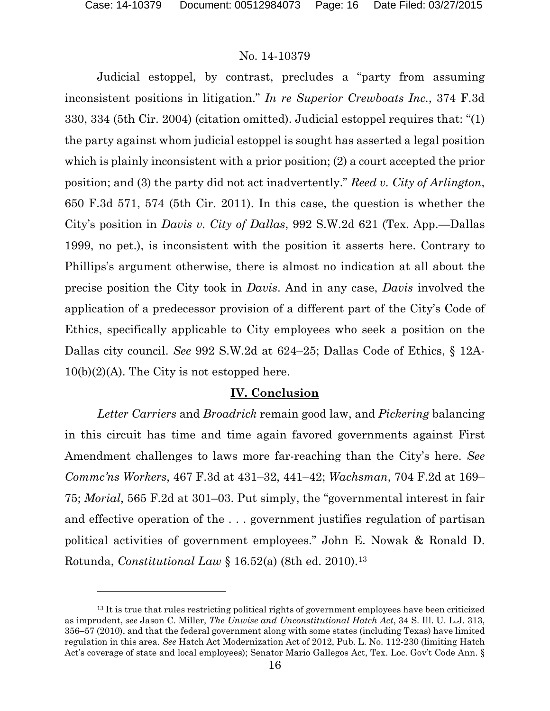### No. 14-10379

Judicial estoppel, by contrast, precludes a "party from assuming inconsistent positions in litigation." *In re Superior Crewboats Inc.*, 374 F.3d 330, 334 (5th Cir. 2004) (citation omitted). Judicial estoppel requires that: "(1) the party against whom judicial estoppel is sought has asserted a legal position which is plainly inconsistent with a prior position; (2) a court accepted the prior position; and (3) the party did not act inadvertently." *Reed v. City of Arlington*, 650 F.3d 571, 574 (5th Cir. 2011). In this case, the question is whether the City's position in *Davis v. City of Dallas*, 992 S.W.2d 621 (Tex. App.—Dallas 1999, no pet.), is inconsistent with the position it asserts here. Contrary to Phillips's argument otherwise, there is almost no indication at all about the precise position the City took in *Davis*. And in any case, *Davis* involved the application of a predecessor provision of a different part of the City's Code of Ethics, specifically applicable to City employees who seek a position on the Dallas city council. *See* 992 S.W.2d at 624–25; Dallas Code of Ethics, § 12A- $10(b)(2)(A)$ . The City is not estopped here.

### **IV. Conclusion**

*Letter Carriers* and *Broadrick* remain good law, and *Pickering* balancing in this circuit has time and time again favored governments against First Amendment challenges to laws more far-reaching than the City's here. *See Commc'ns Workers*, 467 F.3d at 431–32, 441–42; *Wachsman*, 704 F.2d at 169– 75; *Morial*, 565 F.2d at 301–03. Put simply, the "governmental interest in fair and effective operation of the . . . government justifies regulation of partisan political activities of government employees." John E. Nowak & Ronald D. Rotunda, *Constitutional Law* § 16.52(a) (8th ed. 2010).[13](#page-15-0)

<span id="page-15-0"></span><sup>&</sup>lt;sup>13</sup> It is true that rules restricting political rights of government employees have been criticized as imprudent, *see* Jason C. Miller, *The Unwise and Unconstitutional Hatch Act*, 34 S. Ill. U. L.J. 313, 356–57 (2010), and that the federal government along with some states (including Texas) have limited regulation in this area. *See* Hatch Act Modernization Act of 2012, Pub. L. No. 112-230 (limiting Hatch Act's coverage of state and local employees); Senator Mario Gallegos Act, Tex. Loc. Gov't Code Ann. §